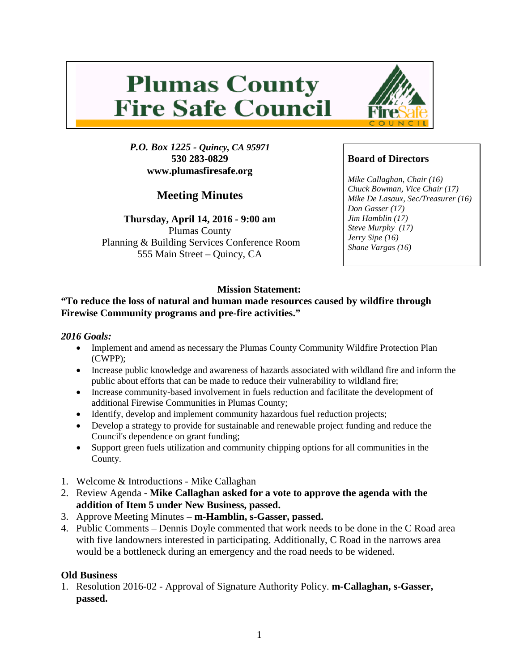# **Plumas County Fire Safe Council**

*P.O. Box 1225 - Quincy, CA 95971* **530 283-0829 www.plumasfiresafe.org**

**Meeting Minutes**

**Thursday, April 14, 2016 - 9:00 am** Plumas County Planning & Building Services Conference Room 555 Main Street – Quincy, CA



### **Board of Directors**

*Mike Callaghan, Chair (16) Chuck Bowman, Vice Chair (17) Mike De Lasaux, Sec/Treasurer (16) Don Gasser (17) Jim Hamblin (17) Steve Murphy (17) Jerry Sipe (16) Shane Vargas (16)*

## **Mission Statement:**

#### **"To reduce the loss of natural and human made resources caused by wildfire through Firewise Community programs and pre-fire activities."**

#### *2016 Goals:*

- Implement and amend as necessary the Plumas County Community Wildfire Protection Plan (CWPP);
- Increase public knowledge and awareness of hazards associated with wildland fire and inform the public about efforts that can be made to reduce their vulnerability to wildland fire;
- Increase community-based involvement in fuels reduction and facilitate the development of additional Firewise Communities in Plumas County;
- Identify, develop and implement community hazardous fuel reduction projects;
- Develop a strategy to provide for sustainable and renewable project funding and reduce the Council's dependence on grant funding;
- Support green fuels utilization and community chipping options for all communities in the County.
- 1. Welcome & Introductions Mike Callaghan
- 2. Review Agenda **Mike Callaghan asked for a vote to approve the agenda with the addition of Item 5 under New Business, passed.**
- 3. Approve Meeting Minutes **m-Hamblin, s-Gasser, passed.**
- 4. Public Comments Dennis Doyle commented that work needs to be done in the C Road area with five landowners interested in participating. Additionally, C Road in the narrows area would be a bottleneck during an emergency and the road needs to be widened.

#### **Old Business**

1. Resolution 2016-02 - Approval of Signature Authority Policy. **m-Callaghan, s-Gasser, passed.**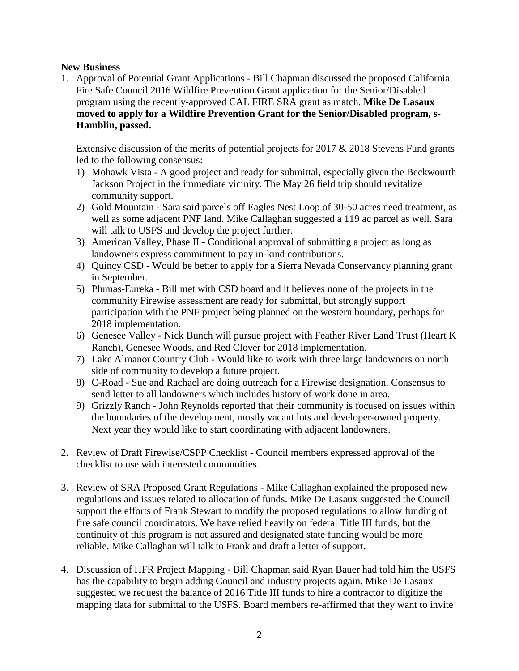#### **New Business**

1. Approval of Potential Grant Applications - Bill Chapman discussed the proposed California Fire Safe Council 2016 Wildfire Prevention Grant application for the Senior/Disabled program using the recently-approved CAL FIRE SRA grant as match. **Mike De Lasaux moved to apply for a Wildfire Prevention Grant for the Senior/Disabled program, s-Hamblin, passed.**

Extensive discussion of the merits of potential projects for 2017 & 2018 Stevens Fund grants led to the following consensus:

- 1) Mohawk Vista A good project and ready for submittal, especially given the Beckwourth Jackson Project in the immediate vicinity. The May 26 field trip should revitalize community support.
- 2) Gold Mountain Sara said parcels off Eagles Nest Loop of 30-50 acres need treatment, as well as some adjacent PNF land. Mike Callaghan suggested a 119 ac parcel as well. Sara will talk to USFS and develop the project further.
- 3) American Valley, Phase II Conditional approval of submitting a project as long as landowners express commitment to pay in-kind contributions.
- 4) Quincy CSD Would be better to apply for a Sierra Nevada Conservancy planning grant in September.
- 5) Plumas-Eureka Bill met with CSD board and it believes none of the projects in the community Firewise assessment are ready for submittal, but strongly support participation with the PNF project being planned on the western boundary, perhaps for 2018 implementation.
- 6) Genesee Valley Nick Bunch will pursue project with Feather River Land Trust (Heart K Ranch), Genesee Woods, and Red Clover for 2018 implementation.
- 7) Lake Almanor Country Club Would like to work with three large landowners on north side of community to develop a future project.
- 8) C-Road Sue and Rachael are doing outreach for a Firewise designation. Consensus to send letter to all landowners which includes history of work done in area.
- 9) Grizzly Ranch John Reynolds reported that their community is focused on issues within the boundaries of the development, mostly vacant lots and developer-owned property. Next year they would like to start coordinating with adjacent landowners.
- 2. Review of Draft Firewise/CSPP Checklist Council members expressed approval of the checklist to use with interested communities.
- 3. Review of SRA Proposed Grant Regulations Mike Callaghan explained the proposed new regulations and issues related to allocation of funds. Mike De Lasaux suggested the Council support the efforts of Frank Stewart to modify the proposed regulations to allow funding of fire safe council coordinators. We have relied heavily on federal Title III funds, but the continuity of this program is not assured and designated state funding would be more reliable. Mike Callaghan will talk to Frank and draft a letter of support.
- 4. Discussion of HFR Project Mapping Bill Chapman said Ryan Bauer had told him the USFS has the capability to begin adding Council and industry projects again. Mike De Lasaux suggested we request the balance of 2016 Title III funds to hire a contractor to digitize the mapping data for submittal to the USFS. Board members re-affirmed that they want to invite